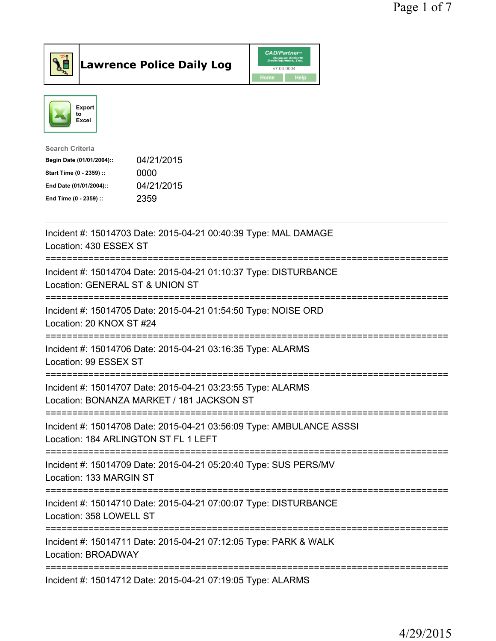



| <b>Search Criteria</b>    |            |
|---------------------------|------------|
| Begin Date (01/01/2004):: | 04/21/2015 |
| Start Time (0 - 2359) ::  | 0000       |
| End Date (01/01/2004)::   | 04/21/2015 |
| End Time (0 - 2359) ::    | 2359       |
|                           |            |

| Incident #: 15014703 Date: 2015-04-21 00:40:39 Type: MAL DAMAGE<br>Location: 430 ESSEX ST                                       |
|---------------------------------------------------------------------------------------------------------------------------------|
| Incident #: 15014704 Date: 2015-04-21 01:10:37 Type: DISTURBANCE<br>Location: GENERAL ST & UNION ST                             |
| Incident #: 15014705 Date: 2015-04-21 01:54:50 Type: NOISE ORD<br>Location: 20 KNOX ST #24                                      |
| Incident #: 15014706 Date: 2015-04-21 03:16:35 Type: ALARMS<br>Location: 99 ESSEX ST<br>================                        |
| Incident #: 15014707 Date: 2015-04-21 03:23:55 Type: ALARMS<br>Location: BONANZA MARKET / 181 JACKSON ST<br>___________________ |
| Incident #: 15014708 Date: 2015-04-21 03:56:09 Type: AMBULANCE ASSSI<br>Location: 184 ARLINGTON ST FL 1 LEFT                    |
| ----------------------<br>Incident #: 15014709 Date: 2015-04-21 05:20:40 Type: SUS PERS/MV<br>Location: 133 MARGIN ST           |
| Incident #: 15014710 Date: 2015-04-21 07:00:07 Type: DISTURBANCE<br>Location: 358 LOWELL ST                                     |
| Incident #: 15014711 Date: 2015-04-21 07:12:05 Type: PARK & WALK<br>Location: BROADWAY                                          |
| Incident #: 15014712 Date: 2015-04-21 07:19:05 Type: ALARMS                                                                     |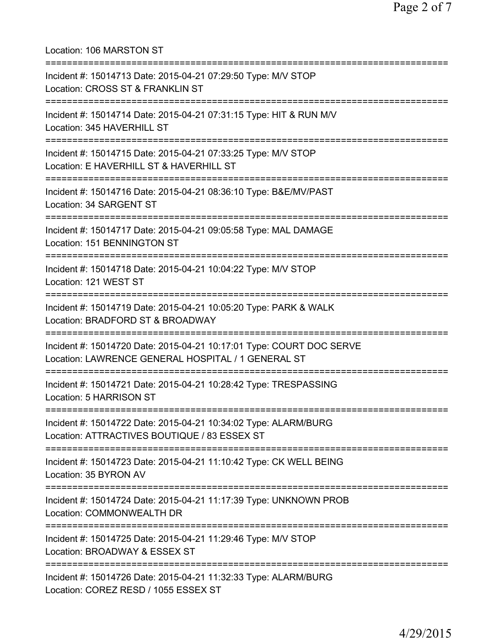| Location: 106 MARSTON ST                                                                                                                |
|-----------------------------------------------------------------------------------------------------------------------------------------|
| Incident #: 15014713 Date: 2015-04-21 07:29:50 Type: M/V STOP<br>Location: CROSS ST & FRANKLIN ST<br>==========================         |
| Incident #: 15014714 Date: 2015-04-21 07:31:15 Type: HIT & RUN M/V<br>Location: 345 HAVERHILL ST                                        |
| Incident #: 15014715 Date: 2015-04-21 07:33:25 Type: M/V STOP<br>Location: E HAVERHILL ST & HAVERHILL ST<br>=========================== |
| Incident #: 15014716 Date: 2015-04-21 08:36:10 Type: B&E/MV/PAST<br>Location: 34 SARGENT ST                                             |
| Incident #: 15014717 Date: 2015-04-21 09:05:58 Type: MAL DAMAGE<br>Location: 151 BENNINGTON ST                                          |
| Incident #: 15014718 Date: 2015-04-21 10:04:22 Type: M/V STOP<br>Location: 121 WEST ST                                                  |
| Incident #: 15014719 Date: 2015-04-21 10:05:20 Type: PARK & WALK<br>Location: BRADFORD ST & BROADWAY                                    |
| Incident #: 15014720 Date: 2015-04-21 10:17:01 Type: COURT DOC SERVE<br>Location: LAWRENCE GENERAL HOSPITAL / 1 GENERAL ST              |
| Incident #: 15014721 Date: 2015-04-21 10:28:42 Type: TRESPASSING<br>Location: 5 HARRISON ST                                             |
| Incident #: 15014722 Date: 2015-04-21 10:34:02 Type: ALARM/BURG<br>Location: ATTRACTIVES BOUTIQUE / 83 ESSEX ST                         |
| Incident #: 15014723 Date: 2015-04-21 11:10:42 Type: CK WELL BEING<br>Location: 35 BYRON AV                                             |
| =====================================<br>Incident #: 15014724 Date: 2015-04-21 11:17:39 Type: UNKNOWN PROB<br>Location: COMMONWEALTH DR |
| Incident #: 15014725 Date: 2015-04-21 11:29:46 Type: M/V STOP<br>Location: BROADWAY & ESSEX ST                                          |
| Incident #: 15014726 Date: 2015-04-21 11:32:33 Type: ALARM/BURG<br>Location: COREZ RESD / 1055 ESSEX ST                                 |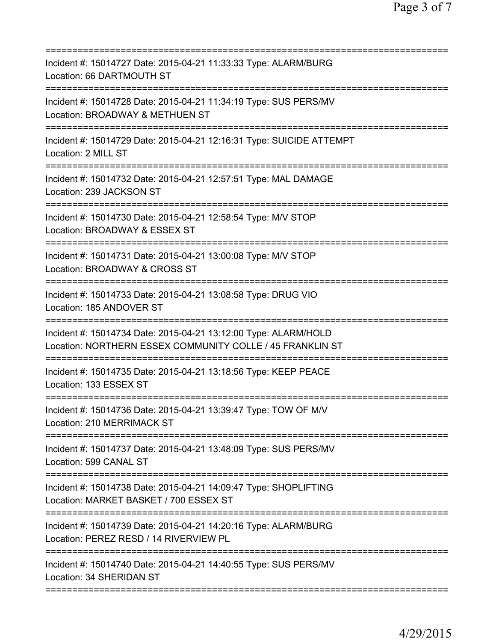| Incident #: 15014727 Date: 2015-04-21 11:33:33 Type: ALARM/BURG<br>Location: 66 DARTMOUTH ST<br>:================<br>======================                                |
|----------------------------------------------------------------------------------------------------------------------------------------------------------------------------|
| Incident #: 15014728 Date: 2015-04-21 11:34:19 Type: SUS PERS/MV<br>Location: BROADWAY & METHUEN ST                                                                        |
| Incident #: 15014729 Date: 2015-04-21 12:16:31 Type: SUICIDE ATTEMPT<br>Location: 2 MILL ST                                                                                |
| Incident #: 15014732 Date: 2015-04-21 12:57:51 Type: MAL DAMAGE<br>Location: 239 JACKSON ST                                                                                |
| Incident #: 15014730 Date: 2015-04-21 12:58:54 Type: M/V STOP<br>Location: BROADWAY & ESSEX ST                                                                             |
| ==========================<br>=============<br>Incident #: 15014731 Date: 2015-04-21 13:00:08 Type: M/V STOP<br>Location: BROADWAY & CROSS ST<br>========================= |
| Incident #: 15014733 Date: 2015-04-21 13:08:58 Type: DRUG VIO<br>Location: 185 ANDOVER ST<br>====================================                                          |
| Incident #: 15014734 Date: 2015-04-21 13:12:00 Type: ALARM/HOLD<br>Location: NORTHERN ESSEX COMMUNITY COLLE / 45 FRANKLIN ST                                               |
| Incident #: 15014735 Date: 2015-04-21 13:18:56 Type: KEEP PEACE<br>Location: 133 ESSEX ST                                                                                  |
| Incident #: 15014736 Date: 2015-04-21 13:39:47 Type: TOW OF M/V<br>Location: 210 MERRIMACK ST                                                                              |
| Incident #: 15014737 Date: 2015-04-21 13:48:09 Type: SUS PERS/MV<br>Location: 599 CANAL ST                                                                                 |
| Incident #: 15014738 Date: 2015-04-21 14:09:47 Type: SHOPLIFTING<br>Location: MARKET BASKET / 700 ESSEX ST                                                                 |
| Incident #: 15014739 Date: 2015-04-21 14:20:16 Type: ALARM/BURG<br>Location: PEREZ RESD / 14 RIVERVIEW PL                                                                  |
| ====================================<br>Incident #: 15014740 Date: 2015-04-21 14:40:55 Type: SUS PERS/MV<br>Location: 34 SHERIDAN ST                                       |
|                                                                                                                                                                            |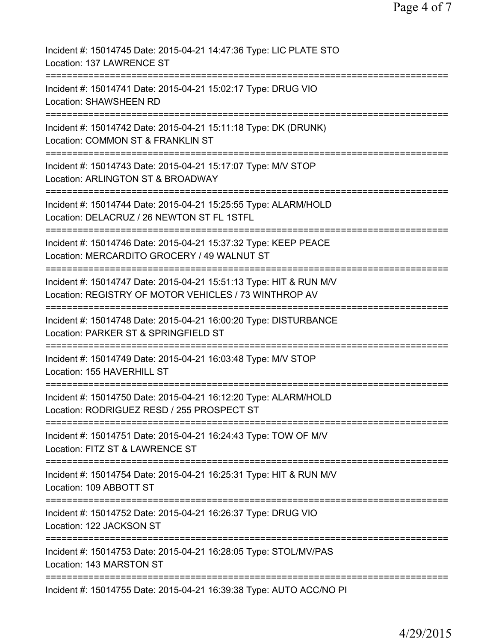Page 4 of 7

| Incident #: 15014745 Date: 2015-04-21 14:47:36 Type: LIC PLATE STO<br>Location: 137 LAWRENCE ST                                                    |
|----------------------------------------------------------------------------------------------------------------------------------------------------|
| Incident #: 15014741 Date: 2015-04-21 15:02:17 Type: DRUG VIO<br><b>Location: SHAWSHEEN RD</b>                                                     |
| Incident #: 15014742 Date: 2015-04-21 15:11:18 Type: DK (DRUNK)<br>Location: COMMON ST & FRANKLIN ST                                               |
| Incident #: 15014743 Date: 2015-04-21 15:17:07 Type: M/V STOP<br>Location: ARLINGTON ST & BROADWAY                                                 |
| Incident #: 15014744 Date: 2015-04-21 15:25:55 Type: ALARM/HOLD<br>Location: DELACRUZ / 26 NEWTON ST FL 1STFL                                      |
| Incident #: 15014746 Date: 2015-04-21 15:37:32 Type: KEEP PEACE<br>Location: MERCARDITO GROCERY / 49 WALNUT ST                                     |
| Incident #: 15014747 Date: 2015-04-21 15:51:13 Type: HIT & RUN M/V<br>Location: REGISTRY OF MOTOR VEHICLES / 73 WINTHROP AV<br>=================== |
| Incident #: 15014748 Date: 2015-04-21 16:00:20 Type: DISTURBANCE<br>Location: PARKER ST & SPRINGFIELD ST                                           |
| =========================<br>Incident #: 15014749 Date: 2015-04-21 16:03:48 Type: M/V STOP<br>Location: 155 HAVERHILL ST                           |
| Incident #: 15014750 Date: 2015-04-21 16:12:20 Type: ALARM/HOLD<br>Location: RODRIGUEZ RESD / 255 PROSPECT ST                                      |
| Incident #: 15014751 Date: 2015-04-21 16:24:43 Type: TOW OF M/V<br>Location: FITZ ST & LAWRENCE ST                                                 |
| Incident #: 15014754 Date: 2015-04-21 16:25:31 Type: HIT & RUN M/V<br>Location: 109 ABBOTT ST                                                      |
| Incident #: 15014752 Date: 2015-04-21 16:26:37 Type: DRUG VIO<br>Location: 122 JACKSON ST                                                          |
| Incident #: 15014753 Date: 2015-04-21 16:28:05 Type: STOL/MV/PAS<br>Location: 143 MARSTON ST                                                       |
| =================================<br>Incident #: 15014755 Date: 2015-04-21 16:39:38 Type: AUTO ACC/NO PI                                           |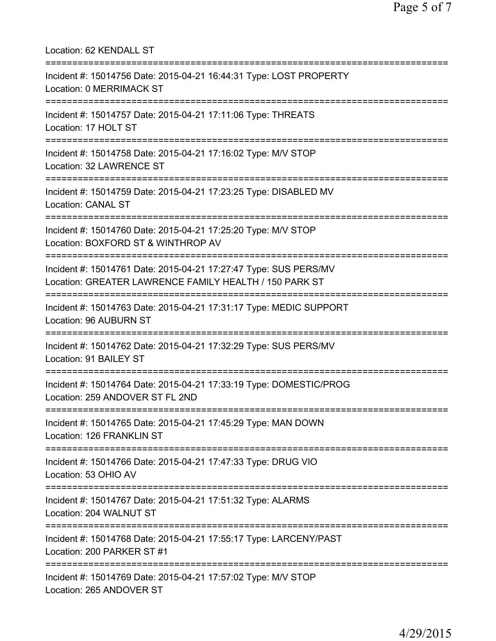| Location: 62 KENDALL ST                                                                                                              |
|--------------------------------------------------------------------------------------------------------------------------------------|
| Incident #: 15014756 Date: 2015-04-21 16:44:31 Type: LOST PROPERTY<br>Location: 0 MERRIMACK ST<br>=================================  |
| Incident #: 15014757 Date: 2015-04-21 17:11:06 Type: THREATS<br>Location: 17 HOLT ST                                                 |
| ============================<br>Incident #: 15014758 Date: 2015-04-21 17:16:02 Type: M/V STOP<br>Location: 32 LAWRENCE ST            |
| ;==================================<br>Incident #: 15014759 Date: 2015-04-21 17:23:25 Type: DISABLED MV<br><b>Location: CANAL ST</b> |
| Incident #: 15014760 Date: 2015-04-21 17:25:20 Type: M/V STOP<br>Location: BOXFORD ST & WINTHROP AV                                  |
| Incident #: 15014761 Date: 2015-04-21 17:27:47 Type: SUS PERS/MV<br>Location: GREATER LAWRENCE FAMILY HEALTH / 150 PARK ST           |
| Incident #: 15014763 Date: 2015-04-21 17:31:17 Type: MEDIC SUPPORT<br><b>Location: 96 AUBURN ST</b>                                  |
| Incident #: 15014762 Date: 2015-04-21 17:32:29 Type: SUS PERS/MV<br>Location: 91 BAILEY ST                                           |
| Incident #: 15014764 Date: 2015-04-21 17:33:19 Type: DOMESTIC/PROG<br>Location: 259 ANDOVER ST FL 2ND                                |
| =========================<br>Incident #: 15014765 Date: 2015-04-21 17:45:29 Type: MAN DOWN<br>Location: 126 FRANKLIN ST              |
| Incident #: 15014766 Date: 2015-04-21 17:47:33 Type: DRUG VIO<br>Location: 53 OHIO AV                                                |
| ----------------------<br>Incident #: 15014767 Date: 2015-04-21 17:51:32 Type: ALARMS<br>Location: 204 WALNUT ST                     |
| ==============================<br>Incident #: 15014768 Date: 2015-04-21 17:55:17 Type: LARCENY/PAST<br>Location: 200 PARKER ST #1    |
| Incident #: 15014769 Date: 2015-04-21 17:57:02 Type: M/V STOP<br>Location: 265 ANDOVER ST                                            |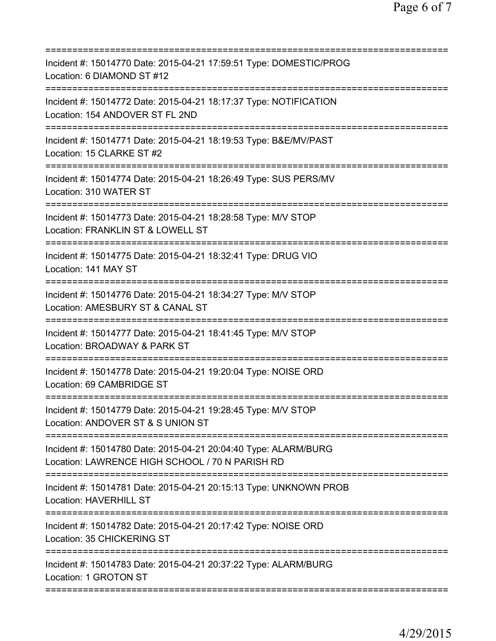| Incident #: 15014770 Date: 2015-04-21 17:59:51 Type: DOMESTIC/PROG<br>Location: 6 DIAMOND ST #12                                                                      |
|-----------------------------------------------------------------------------------------------------------------------------------------------------------------------|
| Incident #: 15014772 Date: 2015-04-21 18:17:37 Type: NOTIFICATION<br>Location: 154 ANDOVER ST FL 2ND                                                                  |
| Incident #: 15014771 Date: 2015-04-21 18:19:53 Type: B&E/MV/PAST<br>Location: 15 CLARKE ST #2                                                                         |
| Incident #: 15014774 Date: 2015-04-21 18:26:49 Type: SUS PERS/MV<br>Location: 310 WATER ST                                                                            |
| Incident #: 15014773 Date: 2015-04-21 18:28:58 Type: M/V STOP<br>Location: FRANKLIN ST & LOWELL ST                                                                    |
| =============================<br>------------<br>Incident #: 15014775 Date: 2015-04-21 18:32:41 Type: DRUG VIO<br>Location: 141 MAY ST                                |
| ================================<br>Incident #: 15014776 Date: 2015-04-21 18:34:27 Type: M/V STOP<br>Location: AMESBURY ST & CANAL ST<br>.=========================== |
| Incident #: 15014777 Date: 2015-04-21 18:41:45 Type: M/V STOP<br>Location: BROADWAY & PARK ST                                                                         |
| Incident #: 15014778 Date: 2015-04-21 19:20:04 Type: NOISE ORD<br>Location: 69 CAMBRIDGE ST                                                                           |
| Incident #: 15014779 Date: 2015-04-21 19:28:45 Type: M/V STOP<br>Location: ANDOVER ST & S UNION ST                                                                    |
| Incident #: 15014780 Date: 2015-04-21 20:04:40 Type: ALARM/BURG<br>Location: LAWRENCE HIGH SCHOOL / 70 N PARISH RD                                                    |
| Incident #: 15014781 Date: 2015-04-21 20:15:13 Type: UNKNOWN PROB<br><b>Location: HAVERHILL ST</b>                                                                    |
| Incident #: 15014782 Date: 2015-04-21 20:17:42 Type: NOISE ORD<br>Location: 35 CHICKERING ST                                                                          |
| Incident #: 15014783 Date: 2015-04-21 20:37:22 Type: ALARM/BURG<br>Location: 1 GROTON ST                                                                              |
|                                                                                                                                                                       |